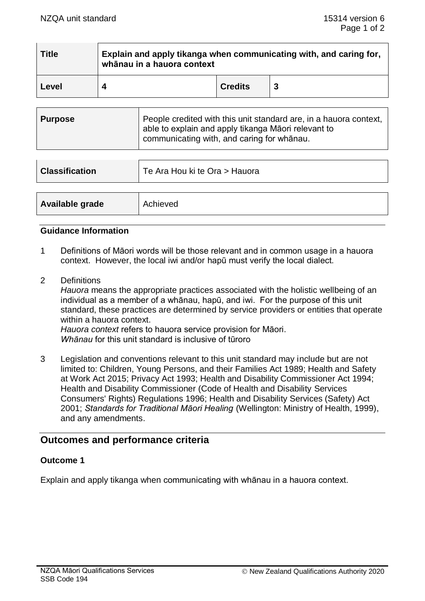| <b>Title</b> | Explain and apply tikanga when communicating with, and caring for,<br>whānau in a hauora context |                |  |
|--------------|--------------------------------------------------------------------------------------------------|----------------|--|
| Level        | Δ                                                                                                | <b>Credits</b> |  |

| <b>Purpose</b> | People credited with this unit standard are, in a hauora context,<br>able to explain and apply tikanga Māori relevant to<br>communicating with, and caring for whanau. |
|----------------|------------------------------------------------------------------------------------------------------------------------------------------------------------------------|
|                |                                                                                                                                                                        |

| <b>Classification</b> | Te Ara Hou ki te Ora > Hauora |  |
|-----------------------|-------------------------------|--|
|                       |                               |  |
| Available grade       | Achieved                      |  |

# **Guidance Information**

- 1 Definitions of Māori words will be those relevant and in common usage in a hauora context. However, the local iwi and/or hapū must verify the local dialect.
- 2 Definitions

*Hauora* means the appropriate practices associated with the holistic wellbeing of an individual as a member of a whānau, hapū, and iwi. For the purpose of this unit standard, these practices are determined by service providers or entities that operate within a hauora context.

*Hauora context* refers to hauora service provision for Māori. *Whānau* for this unit standard is inclusive of tūroro

3 Legislation and conventions relevant to this unit standard may include but are not limited to: Children, Young Persons, and their Families Act 1989; Health and Safety at Work Act 2015; Privacy Act 1993; Health and Disability Commissioner Act 1994; Health and Disability Commissioner (Code of Health and Disability Services Consumers' Rights) Regulations 1996; Health and Disability Services (Safety) Act 2001; *Standards for Traditional Māori Healing* (Wellington: Ministry of Health, 1999), and any amendments.

# **Outcomes and performance criteria**

# **Outcome 1**

Explain and apply tikanga when communicating with whānau in a hauora context.